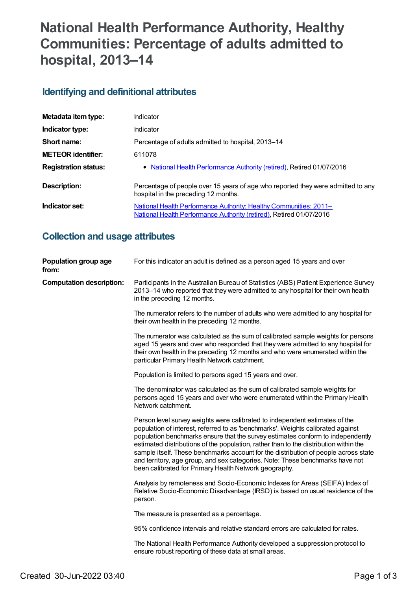# **National Health Performance Authority, Healthy Communities: Percentage of adults admitted to hospital, 2013–14**

### **Identifying and definitional attributes**

| Metadata item type:         | Indicator                                                                                                                                |
|-----------------------------|------------------------------------------------------------------------------------------------------------------------------------------|
| Indicator type:             | Indicator                                                                                                                                |
| Short name:                 | Percentage of adults admitted to hospital, 2013-14                                                                                       |
| <b>METEOR identifier:</b>   | 611078                                                                                                                                   |
| <b>Registration status:</b> | • National Health Performance Authority (retired), Retired 01/07/2016                                                                    |
| Description:                | Percentage of people over 15 years of age who reported they were admitted to any<br>hospital in the preceding 12 months.                 |
| Indicator set:              | National Health Performance Authority: Healthy Communities: 2011-<br>National Health Performance Authority (retired), Retired 01/07/2016 |

## **Collection and usage attributes**

| Population group age<br>from:   | For this indicator an adult is defined as a person aged 15 years and over                                                                                                                                                                                                                                                                                                                                                                                                                                                                                                   |
|---------------------------------|-----------------------------------------------------------------------------------------------------------------------------------------------------------------------------------------------------------------------------------------------------------------------------------------------------------------------------------------------------------------------------------------------------------------------------------------------------------------------------------------------------------------------------------------------------------------------------|
| <b>Computation description:</b> | Participants in the Australian Bureau of Statistics (ABS) Patient Experience Survey<br>2013-14 who reported that they were admitted to any hospital for their own health<br>in the preceding 12 months.                                                                                                                                                                                                                                                                                                                                                                     |
|                                 | The numerator refers to the number of adults who were admitted to any hospital for<br>their own health in the preceding 12 months.                                                                                                                                                                                                                                                                                                                                                                                                                                          |
|                                 | The numerator was calculated as the sum of calibrated sample weights for persons<br>aged 15 years and over who responded that they were admitted to any hospital for<br>their own health in the preceding 12 months and who were enumerated within the<br>particular Primary Health Network catchment.                                                                                                                                                                                                                                                                      |
|                                 | Population is limited to persons aged 15 years and over.                                                                                                                                                                                                                                                                                                                                                                                                                                                                                                                    |
|                                 | The denominator was calculated as the sum of calibrated sample weights for<br>persons aged 15 years and over who were enumerated within the Primary Health<br>Network catchment.                                                                                                                                                                                                                                                                                                                                                                                            |
|                                 | Person level survey weights were calibrated to independent estimates of the<br>population of interest, referred to as 'benchmarks'. Weights calibrated against<br>population benchmarks ensure that the survey estimates conform to independently<br>estimated distributions of the population, rather than to the distribution within the<br>sample itself. These benchmarks account for the distribution of people across state<br>and territory, age group, and sex categories. Note: These benchmarks have not<br>been calibrated for Primary Health Network geography. |
|                                 | Analysis by remoteness and Socio-Economic Indexes for Areas (SEIFA) Index of<br>Relative Socio-Economic Disadvantage (IRSD) is based on usual residence of the<br>person.                                                                                                                                                                                                                                                                                                                                                                                                   |
|                                 | The measure is presented as a percentage.                                                                                                                                                                                                                                                                                                                                                                                                                                                                                                                                   |
|                                 | 95% confidence intervals and relative standard errors are calculated for rates.                                                                                                                                                                                                                                                                                                                                                                                                                                                                                             |
|                                 | The National Health Performance Authority developed a suppression protocol to<br>ensure robust reporting of these data at small areas.                                                                                                                                                                                                                                                                                                                                                                                                                                      |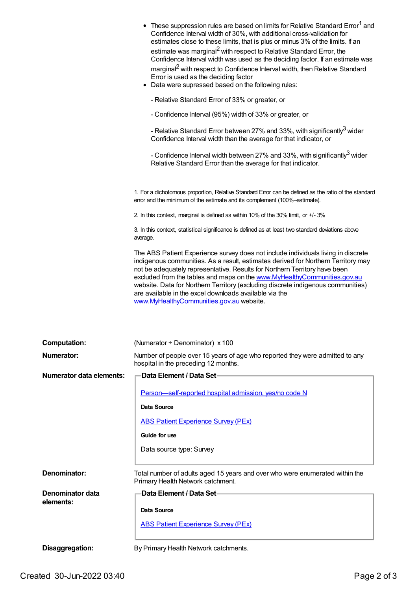|                               | • These suppression rules are based on limits for Relative Standard Error <sup>1</sup> and<br>Confidence Interval width of 30%, with additional cross-validation for<br>estimates close to these limits, that is plus or minus 3% of the limits. If an<br>estimate was marginal <sup>2</sup> with respect to Relative Standard Error, the<br>Confidence Interval width was used as the deciding factor. If an estimate was<br>marginal <sup>2</sup> with respect to Confidence Interval width, then Relative Standard<br>Error is used as the deciding factor<br>• Data were supressed based on the following rules:<br>- Relative Standard Error of 33% or greater, or<br>- Confidence Interval (95%) width of 33% or greater, or<br>- Relative Standard Error between 27% and 33%, with significantly <sup>3</sup> wider<br>Confidence Interval width than the average for that indicator, or<br>- Confidence Interval width between 27% and 33%, with significantly <sup>3</sup> wider<br>Relative Standard Error than the average for that indicator. |
|-------------------------------|-----------------------------------------------------------------------------------------------------------------------------------------------------------------------------------------------------------------------------------------------------------------------------------------------------------------------------------------------------------------------------------------------------------------------------------------------------------------------------------------------------------------------------------------------------------------------------------------------------------------------------------------------------------------------------------------------------------------------------------------------------------------------------------------------------------------------------------------------------------------------------------------------------------------------------------------------------------------------------------------------------------------------------------------------------------|
|                               | 1. For a dichotomous proportion, Relative Standard Error can be defined as the ratio of the standard<br>error and the minimum of the estimate and its complement (100%-estimate).                                                                                                                                                                                                                                                                                                                                                                                                                                                                                                                                                                                                                                                                                                                                                                                                                                                                         |
|                               | 2. In this context, marginal is defined as within 10% of the 30% limit, or +/-3%                                                                                                                                                                                                                                                                                                                                                                                                                                                                                                                                                                                                                                                                                                                                                                                                                                                                                                                                                                          |
|                               | 3. In this context, statistical significance is defined as at least two standard deviations above<br>average.                                                                                                                                                                                                                                                                                                                                                                                                                                                                                                                                                                                                                                                                                                                                                                                                                                                                                                                                             |
|                               | The ABS Patient Experience survey does not include individuals living in discrete<br>indigenous communities. As a result, estimates derived for Northern Territory may<br>not be adequately representative. Results for Northern Territory have been<br>excluded from the tables and maps on the www.MyHealthyCommunities.gov.au<br>website. Data for Northern Territory (excluding discrete indigenous communities)<br>are available in the excel downloads available via the<br>www.MyHealthyCommunities.gov.au website.                                                                                                                                                                                                                                                                                                                                                                                                                                                                                                                                |
| <b>Computation:</b>           | (Numerator ÷ Denominator) x 100                                                                                                                                                                                                                                                                                                                                                                                                                                                                                                                                                                                                                                                                                                                                                                                                                                                                                                                                                                                                                           |
| <b>Numerator:</b>             | Number of people over 15 years of age who reported they were admitted to any<br>hospital in the preceding 12 months.                                                                                                                                                                                                                                                                                                                                                                                                                                                                                                                                                                                                                                                                                                                                                                                                                                                                                                                                      |
| Numerator data elements:      | Data Element / Data Set-                                                                                                                                                                                                                                                                                                                                                                                                                                                                                                                                                                                                                                                                                                                                                                                                                                                                                                                                                                                                                                  |
|                               | Person-self-reported hospital admission, yes/no code N                                                                                                                                                                                                                                                                                                                                                                                                                                                                                                                                                                                                                                                                                                                                                                                                                                                                                                                                                                                                    |
|                               | Data Source                                                                                                                                                                                                                                                                                                                                                                                                                                                                                                                                                                                                                                                                                                                                                                                                                                                                                                                                                                                                                                               |
|                               | <b>ABS Patient Experience Survey (PEx)</b>                                                                                                                                                                                                                                                                                                                                                                                                                                                                                                                                                                                                                                                                                                                                                                                                                                                                                                                                                                                                                |
|                               | Guide for use                                                                                                                                                                                                                                                                                                                                                                                                                                                                                                                                                                                                                                                                                                                                                                                                                                                                                                                                                                                                                                             |
|                               | Data source type: Survey                                                                                                                                                                                                                                                                                                                                                                                                                                                                                                                                                                                                                                                                                                                                                                                                                                                                                                                                                                                                                                  |
| Denominator:                  | Total number of adults aged 15 years and over who were enumerated within the<br>Primary Health Network catchment.                                                                                                                                                                                                                                                                                                                                                                                                                                                                                                                                                                                                                                                                                                                                                                                                                                                                                                                                         |
| Denominator data<br>elements: | Data Element / Data Set-                                                                                                                                                                                                                                                                                                                                                                                                                                                                                                                                                                                                                                                                                                                                                                                                                                                                                                                                                                                                                                  |
|                               | Data Source                                                                                                                                                                                                                                                                                                                                                                                                                                                                                                                                                                                                                                                                                                                                                                                                                                                                                                                                                                                                                                               |
|                               | <b>ABS Patient Experience Survey (PEx)</b>                                                                                                                                                                                                                                                                                                                                                                                                                                                                                                                                                                                                                                                                                                                                                                                                                                                                                                                                                                                                                |
| Disaggregation:               | By Primary Health Network catchments.                                                                                                                                                                                                                                                                                                                                                                                                                                                                                                                                                                                                                                                                                                                                                                                                                                                                                                                                                                                                                     |